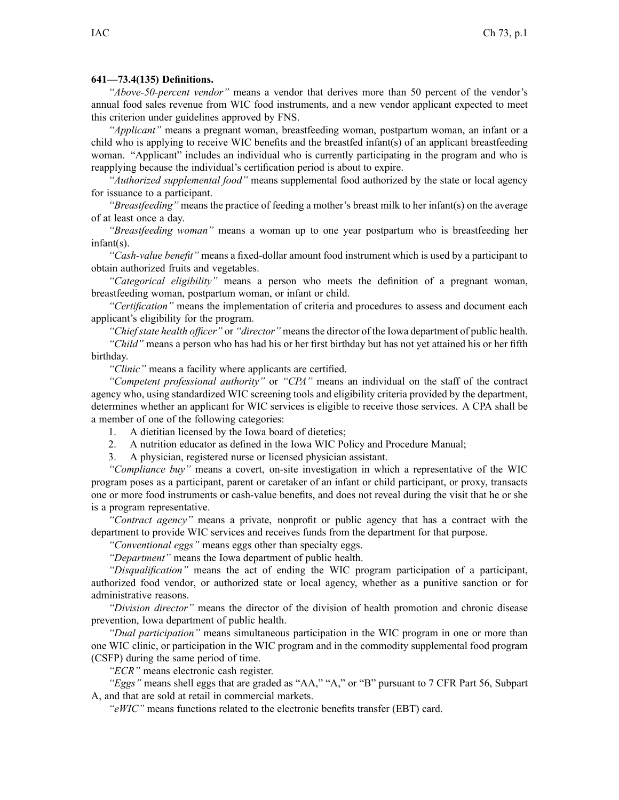## **641—73.4(135) Definitions.**

*"Above-50-percent vendor"* means <sup>a</sup> vendor that derives more than 50 percen<sup>t</sup> of the vendor's annual food sales revenue from WIC food instruments, and <sup>a</sup> new vendor applicant expected to meet this criterion under guidelines approved by FNS.

*"Applicant"* means <sup>a</sup> pregnan<sup>t</sup> woman, breastfeeding woman, postpartum woman, an infant or <sup>a</sup> child who is applying to receive WIC benefits and the breastfed infant(s) of an applicant breastfeeding woman. "Applicant" includes an individual who is currently participating in the program and who is reapplying because the individual's certification period is about to expire.

*"Authorized supplemental food"* means supplemental food authorized by the state or local agency for issuance to <sup>a</sup> participant.

*"Breastfeeding"* means the practice of feeding <sup>a</sup> mother's breast milk to her infant(s) on the average of at least once <sup>a</sup> day.

*"Breastfeeding woman"* means <sup>a</sup> woman up to one year postpartum who is breastfeeding her infant(s).

*"Cash-value benefit"* means <sup>a</sup> fixed-dollar amount food instrument which is used by <sup>a</sup> participant to obtain authorized fruits and vegetables.

*"Categorical eligibility"* means <sup>a</sup> person who meets the definition of <sup>a</sup> pregnan<sup>t</sup> woman, breastfeeding woman, postpartum woman, or infant or child.

*"Certification"* means the implementation of criteria and procedures to assess and document each applicant's eligibility for the program.

*"Chiefstate health officer"* or *"director"* meansthe director of the Iowa department of public health.

*"Child"* means <sup>a</sup> person who has had his or her first birthday but has not ye<sup>t</sup> attained his or her fifth birthday.

*"Clinic"* means <sup>a</sup> facility where applicants are certified.

*"Competent professional authority"* or *"CPA"* means an individual on the staff of the contract agency who, using standardized WIC screening tools and eligibility criteria provided by the department, determines whether an applicant for WIC services is eligible to receive those services. A CPA shall be <sup>a</sup> member of one of the following categories:

- 1. A dietitian licensed by the Iowa board of dietetics;
- 2. A nutrition educator as defined in the Iowa WIC Policy and Procedure Manual;
- 3. A physician, registered nurse or licensed physician assistant.

*"Compliance buy"* means <sup>a</sup> covert, on-site investigation in which <sup>a</sup> representative of the WIC program poses as <sup>a</sup> participant, paren<sup>t</sup> or caretaker of an infant or child participant, or proxy, transacts one or more food instruments or cash-value benefits, and does not reveal during the visit that he or she is <sup>a</sup> program representative.

*"Contract agency"* means <sup>a</sup> private, nonprofit or public agency that has <sup>a</sup> contract with the department to provide WIC services and receives funds from the department for that purpose.

*"Conventional eggs"* means eggs other than specialty eggs.

*"Department"* means the Iowa department of public health.

*"Disqualification"* means the act of ending the WIC program participation of <sup>a</sup> participant, authorized food vendor, or authorized state or local agency, whether as <sup>a</sup> punitive sanction or for administrative reasons.

*"Division director"* means the director of the division of health promotion and chronic disease prevention, Iowa department of public health.

*"Dual participation"* means simultaneous participation in the WIC program in one or more than one WIC clinic, or participation in the WIC program and in the commodity supplemental food program (CSFP) during the same period of time.

*"ECR"* means electronic cash register.

*"Eggs"* means shell eggs that are graded as "AA," "A," or "B" pursuan<sup>t</sup> to 7 CFR Part 56, Subpart A, and that are sold at retail in commercial markets.

*"eWIC"* means functions related to the electronic benefits transfer (EBT) card.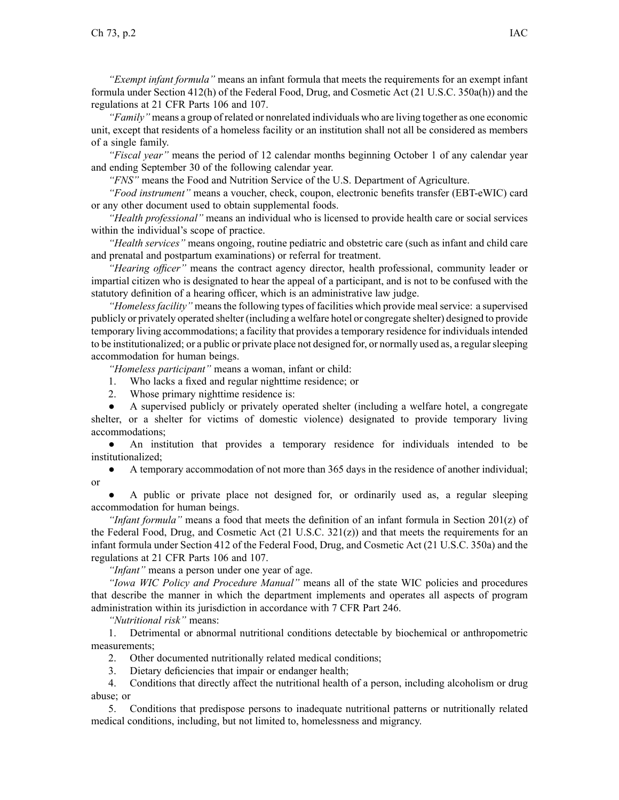*"Exempt infant formula"* means an infant formula that meets the requirements for an exemp<sup>t</sup> infant formula under Section 412(h) of the Federal Food, Drug, and Cosmetic Act (21 U.S.C. 350a(h)) and the regulations at 21 CFR Parts 106 and 107.

*"Family"* means <sup>a</sup> group of related or nonrelated individuals who are living together as one economic unit, excep<sup>t</sup> that residents of <sup>a</sup> homeless facility or an institution shall not all be considered as members of <sup>a</sup> single family.

*"Fiscal year"* means the period of 12 calendar months beginning October 1 of any calendar year and ending September 30 of the following calendar year.

*"FNS"* means the Food and Nutrition Service of the U.S. Department of Agriculture.

*"Food instrument"* means <sup>a</sup> voucher, check, coupon, electronic benefits transfer (EBT-eWIC) card or any other document used to obtain supplemental foods.

*"Health professional"* means an individual who is licensed to provide health care or social services within the individual's scope of practice.

*"Health services"* means ongoing, routine pediatric and obstetric care (such as infant and child care and prenatal and postpartum examinations) or referral for treatment.

*"Hearing officer"* means the contract agency director, health professional, community leader or impartial citizen who is designated to hear the appeal of <sup>a</sup> participant, and is not to be confused with the statutory definition of <sup>a</sup> hearing officer, which is an administrative law judge.

*"Homelessfacility"* meansthe following types of facilities which provide mealservice: <sup>a</sup> supervised publicly or privately operated shelter (including <sup>a</sup> welfare hotel or congregate shelter) designed to provide temporary living accommodations; a facility that provides a temporary residence for individuals intended to be institutionalized; or <sup>a</sup> public or private place not designed for, or normally used as, <sup>a</sup> regularsleeping accommodation for human beings.

*"Homeless participant"* means <sup>a</sup> woman, infant or child:

- 1. Who lacks <sup>a</sup> fixed and regular nighttime residence; or
- 2. Whose primary nighttime residence is:

● A supervised publicly or privately operated shelter (including <sup>a</sup> welfare hotel, <sup>a</sup> congregate shelter, or <sup>a</sup> shelter for victims of domestic violence) designated to provide temporary living accommodations;

 $\bullet$  An institution that provides <sup>a</sup> temporary residence for individuals intended to be institutionalized;

● A temporary accommodation of not more than 365 days in the residence of another individual; or

● A public or private place not designed for, or ordinarily used as, <sup>a</sup> regular sleeping accommodation for human beings.

*"Infant formula"* means <sup>a</sup> food that meets the definition of an infant formula in Section 201(z) of the Federal Food, Drug, and Cosmetic Act  $(21 \text{ U.S.C. } 321(z))$  and that meets the requirements for an infant formula under Section 412 of the Federal Food, Drug, and Cosmetic Act (21 U.S.C. 350a) and the regulations at 21 CFR Parts 106 and 107.

*"Infant"* means <sup>a</sup> person under one year of age.

*"Iowa WIC Policy and Procedure Manual"* means all of the state WIC policies and procedures that describe the manner in which the department implements and operates all aspects of program administration within its jurisdiction in accordance with 7 CFR Part 246.

*"Nutritional risk"* means:

1. Detrimental or abnormal nutritional conditions detectable by biochemical or anthropometric measurements;

- 2. Other documented nutritionally related medical conditions;
- 3. Dietary deficiencies that impair or endanger health;

4. Conditions that directly affect the nutritional health of <sup>a</sup> person, including alcoholism or drug abuse; or

5. Conditions that predispose persons to inadequate nutritional patterns or nutritionally related medical conditions, including, but not limited to, homelessness and migrancy.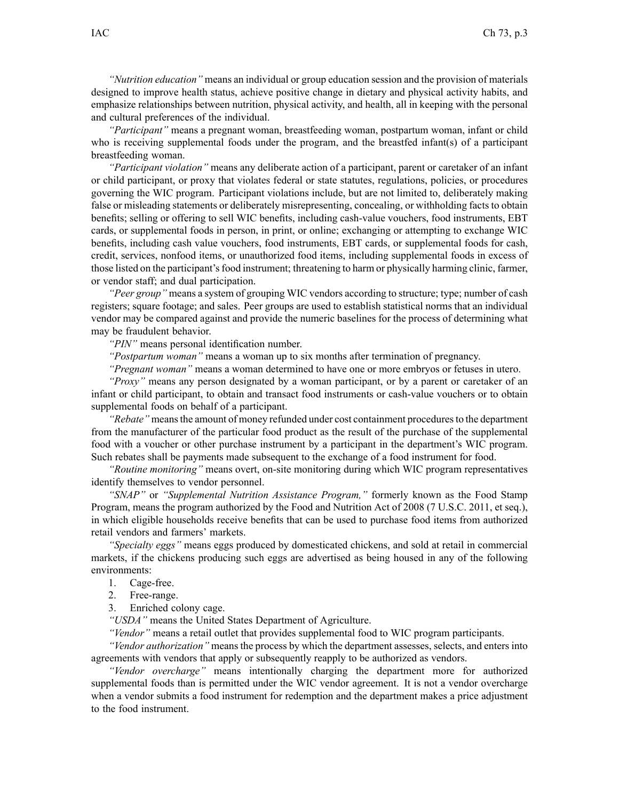*"Nutrition education"* means an individual or group education session and the provision of materials designed to improve health status, achieve positive change in dietary and physical activity habits, and emphasize relationships between nutrition, physical activity, and health, all in keeping with the personal and cultural preferences of the individual.

*"Participant"* means <sup>a</sup> pregnan<sup>t</sup> woman, breastfeeding woman, postpartum woman, infant or child who is receiving supplemental foods under the program, and the breastfed infant(s) of <sup>a</sup> participant breastfeeding woman.

*"Participant violation"* means any deliberate action of <sup>a</sup> participant, paren<sup>t</sup> or caretaker of an infant or child participant, or proxy that violates federal or state statutes, regulations, policies, or procedures governing the WIC program. Participant violations include, but are not limited to, deliberately making false or misleading statements or deliberately misrepresenting, concealing, or withholding facts to obtain benefits; selling or offering to sell WIC benefits, including cash-value vouchers, food instruments, EBT cards, or supplemental foods in person, in print, or online; exchanging or attempting to exchange WIC benefits, including cash value vouchers, food instruments, EBT cards, or supplemental foods for cash, credit, services, nonfood items, or unauthorized food items, including supplemental foods in excess of those listed on the participant's food instrument; threatening to harm or physically harming clinic, farmer, or vendor staff; and dual participation.

*"Peer group"* means <sup>a</sup> system of grouping WIC vendors according to structure; type; number of cash registers; square footage; and sales. Peer groups are used to establish statistical norms that an individual vendor may be compared against and provide the numeric baselines for the process of determining what may be fraudulent behavior.

*"PIN"* means personal identification number.

*"Postpartum woman"* means <sup>a</sup> woman up to six months after termination of pregnancy.

*"Pregnant woman"* means <sup>a</sup> woman determined to have one or more embryos or fetuses in utero.

*"Proxy"* means any person designated by <sup>a</sup> woman participant, or by <sup>a</sup> paren<sup>t</sup> or caretaker of an infant or child participant, to obtain and transact food instruments or cash-value vouchers or to obtain supplemental foods on behalf of <sup>a</sup> participant.

*"Rebate"* meansthe amount of money refunded under cost containment proceduresto the department from the manufacturer of the particular food product as the result of the purchase of the supplemental food with <sup>a</sup> voucher or other purchase instrument by <sup>a</sup> participant in the department's WIC program. Such rebates shall be payments made subsequent to the exchange of <sup>a</sup> food instrument for food.

*"Routine monitoring"* means overt, on-site monitoring during which WIC program representatives identify themselves to vendor personnel.

*"SNAP"* or *"Supplemental Nutrition Assistance Program,"* formerly known as the Food Stamp Program, means the program authorized by the Food and Nutrition Act of 2008 (7 U.S.C. 2011, et seq.), in which eligible households receive benefits that can be used to purchase food items from authorized retail vendors and farmers' markets.

*"Specialty eggs"* means eggs produced by domesticated chickens, and sold at retail in commercial markets, if the chickens producing such eggs are advertised as being housed in any of the following environments:

1. Cage-free.

2. Free-range.

3. Enriched colony cage.

*"USDA"* means the United States Department of Agriculture.

*"Vendor"* means <sup>a</sup> retail outlet that provides supplemental food to WIC program participants.

*"Vendor authorization"* means the process by which the department assesses, selects, and enters into agreements with vendors that apply or subsequently reapply to be authorized as vendors.

*"Vendor overcharge"* means intentionally charging the department more for authorized supplemental foods than is permitted under the WIC vendor agreement. It is not <sup>a</sup> vendor overcharge when <sup>a</sup> vendor submits <sup>a</sup> food instrument for redemption and the department makes <sup>a</sup> price adjustment to the food instrument.